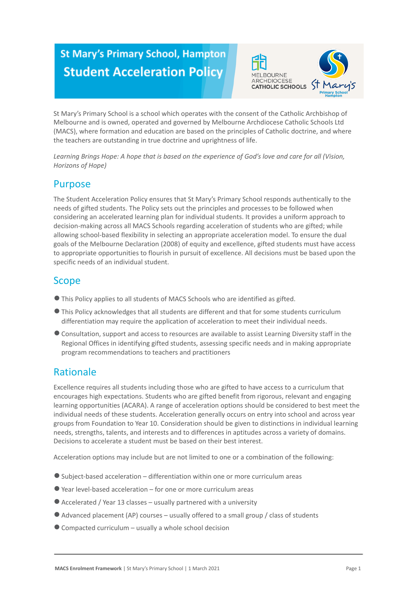# **St Mary's Primary School, Hampton Student Acceleration Policy**



St Mary's Primary School is a school which operates with the consent of the Catholic Archbishop of Melbourne and is owned, operated and governed by Melbourne Archdiocese Catholic Schools Ltd (MACS), where formation and education are based on the principles of Catholic doctrine, and where the teachers are outstanding in true doctrine and uprightness of life.

*Learning Brings Hope: A hope that is based on the experience of God's love and care for all (Vision, Horizons of Hope)*

### **Purpose**

The Student Acceleration Policy ensures that St Mary's Primary School responds authentically to the needs of gifted students. The Policy sets out the principles and processes to be followed when considering an accelerated learning plan for individual students. It provides a uniform approach to decision-making across all MACS Schools regarding acceleration of students who are gifted; while allowing school-based flexibility in selecting an appropriate acceleration model. To ensure the dual goals of the Melbourne Declaration (2008) of equity and excellence, gifted students must have access to appropriate opportunities to flourish in pursuit of excellence. All decisions must be based upon the specific needs of an individual student.

### Scope

- ●This Policy applies to all students of MACS Schools who are identified as gifted.
- ●This Policy acknowledges that all students are different and that for some students curriculum differentiation may require the application of acceleration to meet their individual needs.
- ●Consultation, support and access to resources are available to assist Learning Diversity staff in the Regional Offices in identifying gifted students, assessing specific needs and in making appropriate program recommendations to teachers and practitioners

## Rationale

Excellence requires all students including those who are gifted to have access to a curriculum that encourages high expectations. Students who are gifted benefit from rigorous, relevant and engaging learning opportunities (ACARA). A range of acceleration options should be considered to best meet the individual needs of these students. Acceleration generally occurs on entry into school and across year groups from Foundation to Year 10. Consideration should be given to distinctions in individual learning needs, strengths, talents, and interests and to differences in aptitudes across a variety of domains. Decisions to accelerate a student must be based on their best interest.

Acceleration options may include but are not limited to one or a combination of the following:

- ●Subject-based acceleration differentiation within one or more curriculum areas
- $\bullet$  Year level-based acceleration for one or more curriculum areas
- $\bullet$  Accelerated / Year 13 classes usually partnered with a university
- ●Advanced placement (AP) courses usually offered to a small group / class of students
- $\bullet$  Compacted curriculum usually a whole school decision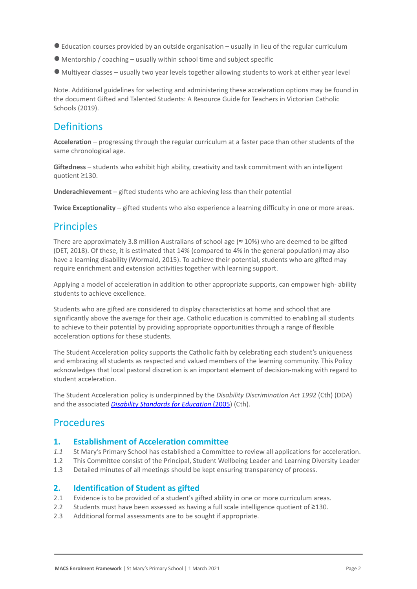- ●Education courses provided by an outside organisation usually in lieu of the regular curriculum
- $\bullet$  Mentorship / coaching usually within school time and subject specific
- Multiyear classes usually two year levels together allowing students to work at either year level

Note. Additional guidelines for selecting and administering these acceleration options may be found in the document [Gifted and Talented Students:](https://www.cecv.catholic.edu.au/getmedia/0d923109-6fb2-4f32-a2e6-c437073dfccf/Gifted-and-Talented-handbook.aspx?ext=.pdf) A Resource Guide for Teachers in Victorian Catholic Schools (2019).

### **Definitions**

**Acceleration** – progressing through the regular curriculum at a faster pace than other students of the same chronological age.

**Giftedness** – students who exhibit high ability, creativity and task commitment with an intelligent quotient ≥130.

**Underachievement** – gifted students who are achieving less than their potential

**Twice Exceptionality** – gifted students who also experience a learning difficulty in one or more areas.

### **Principles**

There are approximately 3.8 million Australians of school age ( $\approx$  10%) who are deemed to be gifted (DET, 2018). Of these, it is estimated that 14% (compared to 4% in the general population) may also have a learning disability (Wormald, 2015). To achieve their potential, students who are gifted may require enrichment and extension activities together with learning support.

Applying a model of acceleration in addition to other appropriate supports, can empower high- ability students to achieve excellence.

Students who are gifted are considered to display characteristics at home and school that are significantly above the average for their age. Catholic education is committed to enabling all students to achieve to their potential by providing appropriate opportunities through a range of flexible acceleration options for these students.

The Student Acceleration policy supports the Catholic faith by celebrating each student's uniqueness and embracing all students as respected and valued members of the learning community. This Policy acknowledges that local pastoral discretion is an important element of decision-making with regard to student acceleration.

The Student Acceleration policy is underpinned by the *Disability Discrimination Act 1992* (Cth) (DDA) and the associated *[Disability Standards for Education](https://www.education.gov.au/disability-standards-education-2005)* (2005) (Cth).

### **Procedures**

#### **1. Establishment of Acceleration committee**

- *1.1* St Mary's Primary School has established a Committee to review all applications for acceleration.
- 1.2 This Committee consist of the Principal, Student Wellbeing Leader and Learning Diversity Leader
- 1.3 Detailed minutes of all meetings should be kept ensuring transparency of process.

#### **2. Identification of Student as gifted**

- 2.1 Evidence is to be provided of a student's gifted ability in one or more curriculum areas.
- 2.2 Students must have been assessed as having a full scale intelligence quotient of ≥130.
- 2.3 Additional formal assessments are to be sought if appropriate.